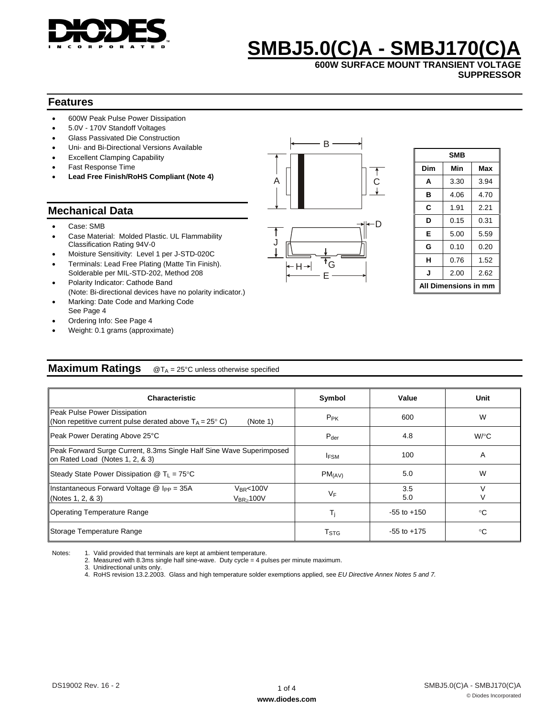

# **SMBJ5.0(C)A - SMBJ170(**

**600W SURFACE MOUNT TRANSIENT VOLTAGE SUPPRESSOR** 

#### **Features**

- 600W Peak Pulse Power Dissipation
- 5.0V 170V Standoff Voltages
- Glass Passivated Die Construction
- Uni- and Bi-Directional Versions Available
- **Excellent Clamping Capability**
- Fast Response Time

**Mechanical Data** 

• **Lead Free Finish/RoHS Compliant (Note 4)** 

- Case: SMB
- Case Material: Molded Plastic. UL Flammability Classification Rating 94V-0
- Moisture Sensitivity: Level 1 per J-STD-020C
- Terminals: Lead Free Plating (Matte Tin Finish). Solderable per MIL-STD-202, Method 208
- Polarity Indicator: Cathode Band (Note: Bi-directional devices have no polarity indicator.)
- Marking: Date Code and Marking Code See Page 4
- Ordering Info: See Page 4
- Weight: 0.1 grams (approximate)

## **Maximum Ratings** @T<sub>A</sub> = 25°C unless otherwise specified

| <b>Characteristic</b>                                                                                              | Symbol           | Value           | Unit    |
|--------------------------------------------------------------------------------------------------------------------|------------------|-----------------|---------|
| Peak Pulse Power Dissipation<br>Non repetitive current pulse derated above $T_A = 25^\circ$ C)<br>(Note 1)         | $P_{PK}$         | 600             | W       |
| Peak Power Derating Above 25°C                                                                                     | $P_{\text{der}}$ | 4.8             | $W$ /°C |
| Peak Forward Surge Current, 8.3ms Single Half Sine Wave Superimposed<br>on Rated Load (Notes 1, 2, & 3)            | <b>IFSM</b>      | 100             | A       |
| Steady State Power Dissipation $\textcircled{1}_{L}$ = 75°C                                                        | $PM$ (AV)        | 5.0             | W       |
| Instantaneous Forward Voltage $@$ I <sub>PP</sub> = 35A<br>$V_{BR}$ < 100 V<br>(Notes 1, 2, & 3)<br>$V_{BR}$ -100V | VF               | 3.5<br>5.0      |         |
| <b>Operating Temperature Range</b>                                                                                 | Τi               | $-55$ to $+150$ | °C      |
| Storage Temperature Range                                                                                          | T <sub>STG</sub> | $-55$ to $+175$ | ℃       |

Notes: 1. Valid provided that terminals are kept at ambient temperature.

2. Measured with 8.3ms single half sine-wave. Duty cycle = 4 pulses per minute maximum.

3. Unidirectional units only.

4. RoHS revision 13.2.2003. Glass and high temperature solder exemptions applied, see *EU Directive Annex Notes 5 and 7.*



B

| SMB                  |      |      |  |  |
|----------------------|------|------|--|--|
| Dim                  | Min  | Max  |  |  |
| A                    | 3.30 | 3.94 |  |  |
| в                    | 4.06 | 4.70 |  |  |
| C                    | 1.91 | 2.21 |  |  |
| D                    | 0.15 | 0.31 |  |  |
| E                    | 5.00 | 5.59 |  |  |
| G                    | 0.10 | 0.20 |  |  |
| н                    | 0.76 | 1.52 |  |  |
| J                    | 2.00 | 2.62 |  |  |
| All Dimensions in mm |      |      |  |  |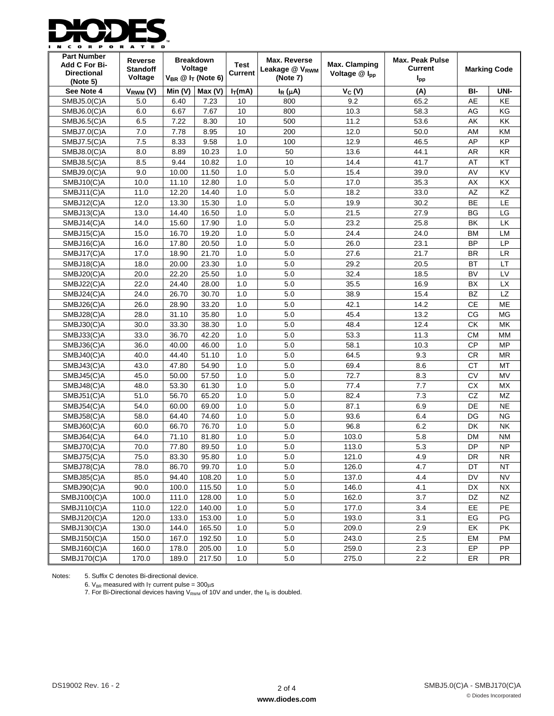

| <b>Part Number</b><br>Add C For Bi-<br><b>Directional</b><br>(Note 5) | Reverse<br><b>Standoff</b><br>Voltage |           | <b>Breakdown</b><br>Voltage<br>$V_{BR} \n\circledR I_T$ (Note 6) | <b>Test</b><br>Current | Max. Reverse<br>Leakage @ V <sub>RWM</sub><br>(Note 7) | Max. Clamping<br>Voltage $@I_{\text{pp}}$ | <b>Max. Peak Pulse</b><br>Current<br>$I_{\text{pp}}$ |           | <b>Marking Code</b> |
|-----------------------------------------------------------------------|---------------------------------------|-----------|------------------------------------------------------------------|------------------------|--------------------------------------------------------|-------------------------------------------|------------------------------------------------------|-----------|---------------------|
| See Note 4                                                            | $V_{RWM} (V)$                         | Min $(V)$ | Max(V)                                                           | $I_T(mA)$              | $I_R(\mu A)$                                           | $V_C(V)$                                  | (A)                                                  | Bŀ-       | UNI-                |
| SMBJ5.0(C)A                                                           | 5.0                                   | 6.40      | 7.23                                                             | 10                     | 800                                                    | 9.2                                       | 65.2                                                 | AE        | KE                  |
| SMBJ6.0(C)A                                                           | 6.0                                   | 6.67      | 7.67                                                             | 10                     | 800                                                    | 10.3                                      | 58.3                                                 | AG        | KG                  |
| $SMBJ6.5(C)$ A                                                        | 6.5                                   | 7.22      | 8.30                                                             | 10                     | 500                                                    | 11.2                                      | 53.6                                                 | AK        | KK                  |
| SMBJ7.0(C)A                                                           | 7.0                                   | 7.78      | 8.95                                                             | 10                     | 200                                                    | 12.0                                      | 50.0                                                 | AM        | KM                  |
| SMBJ7.5(C)A                                                           | 7.5                                   | 8.33      | 9.58                                                             | 1.0                    | 100                                                    | 12.9                                      | 46.5                                                 | AP        | KP                  |
| SMBJ8.0(C)A                                                           | 8.0                                   | 8.89      | 10.23                                                            | 1.0                    | 50                                                     | 13.6                                      | 44.1                                                 | <b>AR</b> | <b>KR</b>           |
| SMBJ8.5(C)A                                                           | 8.5                                   | 9.44      | 10.82                                                            | 1.0                    | 10                                                     | 14.4                                      | 41.7                                                 | AT        | KT                  |
| SMBJ9.0(C)A                                                           | 9.0                                   | 10.00     | 11.50                                                            | 1.0                    | 5.0                                                    | 15.4                                      | 39.0                                                 | AV        | KV                  |
| SMBJ10(C)A                                                            | 10.0                                  | 11.10     | 12.80                                                            | 1.0                    | 5.0                                                    | 17.0                                      | 35.3                                                 | AX        | KX                  |
| SMBJ11(C)A                                                            | 11.0                                  | 12.20     | 14.40                                                            | 1.0                    | 5.0                                                    | 18.2                                      | 33.0                                                 | AZ        | KZ                  |
| SMBJ12(C)A                                                            | 12.0                                  | 13.30     | 15.30                                                            | 1.0                    | 5.0                                                    | 19.9                                      | 30.2                                                 | <b>BE</b> | LE                  |
| SMBJ13(C)A                                                            | 13.0                                  | 14.40     | 16.50                                                            | 1.0                    | 5.0                                                    | 21.5                                      | 27.9                                                 | <b>BG</b> | LG                  |
| SMBJ14(C)A                                                            | 14.0                                  | 15.60     | 17.90                                                            | 1.0                    | 5.0                                                    | 23.2                                      | 25.8                                                 | BK        | LK                  |
| SMBJ15(C)A                                                            | 15.0                                  | 16.70     | 19.20                                                            | 1.0                    | 5.0                                                    | 24.4                                      | 24.0                                                 | <b>BM</b> | <b>LM</b>           |
| SMBJ16(C)A                                                            | 16.0                                  | 17.80     | 20.50                                                            | 1.0                    | 5.0                                                    | 26.0                                      | 23.1                                                 | <b>BP</b> | LP                  |
| SMBJ17(C)A                                                            | 17.0                                  | 18.90     | 21.70                                                            | 1.0                    | 5.0                                                    | 27.6                                      | 21.7                                                 | <b>BR</b> | LR                  |
| SMBJ18(C)A                                                            | 18.0                                  | 20.00     | 23.30                                                            | 1.0                    | 5.0                                                    | 29.2                                      | 20.5                                                 | <b>BT</b> | LT                  |
| SMBJ20(C)A                                                            | 20.0                                  | 22.20     | 25.50                                                            | 1.0                    | 5.0                                                    | 32.4                                      | 18.5                                                 | <b>BV</b> | LV                  |
| SMBJ22(C)A                                                            | 22.0                                  | 24.40     | 28.00                                                            | 1.0                    | 5.0                                                    | 35.5                                      | 16.9                                                 | <b>BX</b> | LX                  |
| SMBJ24(C)A                                                            | 24.0                                  | 26.70     | 30.70                                                            | 1.0                    | 5.0                                                    | 38.9                                      | 15.4                                                 | <b>BZ</b> | LZ                  |
| SMBJ26(C)A                                                            | 26.0                                  | 28.90     | 33.20                                                            | 1.0                    | 5.0                                                    | 42.1                                      | 14.2                                                 | <b>CE</b> | ME                  |
| SMBJ28(C)A                                                            | 28.0                                  | 31.10     | 35.80                                                            | 1.0                    | 5.0                                                    | 45.4                                      | 13.2                                                 | CG        | <b>MG</b>           |
| SMBJ30(C)A                                                            | 30.0                                  | 33.30     | 38.30                                                            | 1.0                    | 5.0                                                    | 48.4                                      | 12.4                                                 | <b>CK</b> | МK                  |
| SMBJ33(C)A                                                            | 33.0                                  | 36.70     | 42.20                                                            | 1.0                    | 5.0                                                    | 53.3                                      | 11.3                                                 | <b>CM</b> | MM                  |
| SMBJ36(C)A                                                            | 36.0                                  | 40.00     | 46.00                                                            | 1.0                    | 5.0                                                    | 58.1                                      | 10.3                                                 | <b>CP</b> | <b>MP</b>           |
| SMBJ40(C)A                                                            | 40.0                                  | 44.40     | 51.10                                                            | 1.0                    | 5.0                                                    | 64.5                                      | 9.3                                                  | <b>CR</b> | <b>MR</b>           |
| SMBJ43(C)A                                                            | 43.0                                  | 47.80     | 54.90                                                            | 1.0                    | 5.0                                                    | 69.4                                      | 8.6                                                  | <b>CT</b> | MT                  |
| SMBJ45(C)A                                                            | 45.0                                  | 50.00     | 57.50                                                            | 1.0                    | 5.0                                                    | 72.7                                      | 8.3                                                  | <b>CV</b> | MV                  |
| SMBJ48(C)A                                                            | 48.0                                  | 53.30     | 61.30                                                            | 1.0                    | 5.0                                                    | 77.4                                      | 7.7                                                  | <b>CX</b> | <b>MX</b>           |
| SMBJ51(C)A                                                            | 51.0                                  | 56.70     | 65.20                                                            | 1.0                    | 5.0                                                    | 82.4                                      | 7.3                                                  | CZ        | MZ                  |
| SMBJ54(C)A                                                            | 54.0                                  | 60.00     | 69.00                                                            | 1.0                    | 5.0                                                    | 87.1                                      | 6.9                                                  | DE        | <b>NE</b>           |
| SMBJ58(C)A                                                            | 58.0                                  | 64.40     | 74.60                                                            | 1.0                    | 5.0                                                    | 93.6                                      | 6.4                                                  | DG        | <b>NG</b>           |
| SMBJ60(C)A                                                            | 60.0                                  | 66.70     | 76.70                                                            | 1.0                    | 5.0                                                    | 96.8                                      | 6.2                                                  | DK        | <b>NK</b>           |
| SMBJ64(C)A                                                            | 64.0                                  | 71.10     | 81.80                                                            | 1.0                    | 5.0                                                    | 103.0                                     | 5.8                                                  | <b>DM</b> | <b>NM</b>           |
| SMBJ70(C)A                                                            | 70.0                                  | 77.80     | 89.50                                                            | 1.0                    | 5.0                                                    | 113.0                                     | 5.3                                                  | DP        | <b>NP</b>           |
| $\overline{\mathsf{SM}}\mathsf{BJ75}(\mathsf{C})\mathsf{A}$           | 75.0                                  | 83.30     | 95.80                                                            | $1.0\,$                | 5.0                                                    | 121.0                                     | 4.9                                                  | DR        | <b>NR</b>           |
| SMBJ78(C)A                                                            | 78.0                                  | 86.70     | 99.70                                                            | 1.0                    | 5.0                                                    | 126.0                                     | 4.7                                                  | DT        | <b>NT</b>           |
| SMBJ85(C)A                                                            | 85.0                                  | 94.40     | 108.20                                                           | 1.0                    | 5.0                                                    | 137.0                                     | 4.4                                                  | DV        | <b>NV</b>           |
| SMBJ90(C)A                                                            | 90.0                                  | 100.0     | 115.50                                                           | 1.0                    | 5.0                                                    | 146.0                                     | 4.1                                                  | DX        | <b>NX</b>           |
| <b>SMBJ100(C)A</b>                                                    | 100.0                                 | 111.0     | 128.00                                                           | 1.0                    | 5.0                                                    | 162.0                                     | 3.7                                                  | DZ        | <b>NZ</b>           |
| $\overline{\text{SM}}$ BJ110(C)A                                      | 110.0                                 | 122.0     | 140.00                                                           | 1.0                    | 5.0                                                    | 177.0                                     | 3.4                                                  | EE        | PE                  |
| SMBJ120(C)A                                                           | 120.0                                 | 133.0     | 153.00                                                           | 1.0                    | 5.0                                                    | 193.0                                     | 3.1                                                  | EG        | PG                  |
| $\overline{\text{SMBJ130(C)A}}$                                       | 130.0                                 | 144.0     | 165.50                                                           | 1.0                    | 5.0                                                    | 209.0                                     | 2.9                                                  | EK        | PK                  |
| SMBJ150(C)A                                                           | 150.0                                 | 167.0     | 192.50                                                           | 1.0                    | 5.0                                                    | 243.0                                     | 2.5                                                  | EM        | <b>PM</b>           |
| SMBJ160(C)A                                                           | 160.0                                 | 178.0     | 205.00                                                           | 1.0                    | 5.0                                                    | 259.0                                     | 2.3                                                  | EP        | PP                  |
| SMBJ170(C)A                                                           | 170.0                                 | 189.0     | 217.50                                                           | 1.0                    | 5.0                                                    | 275.0                                     | 2.2                                                  | ER        | <b>PR</b>           |

Notes: 5. Suffix C denotes Bi-directional device.

6.  $V_{BR}$  measured with I<sub>T</sub> current pulse = 300 $\mu$ s

7. For Bi-Directional devices having  $V_{RWM}$  of 10V and under, the  $I_R$  is doubled.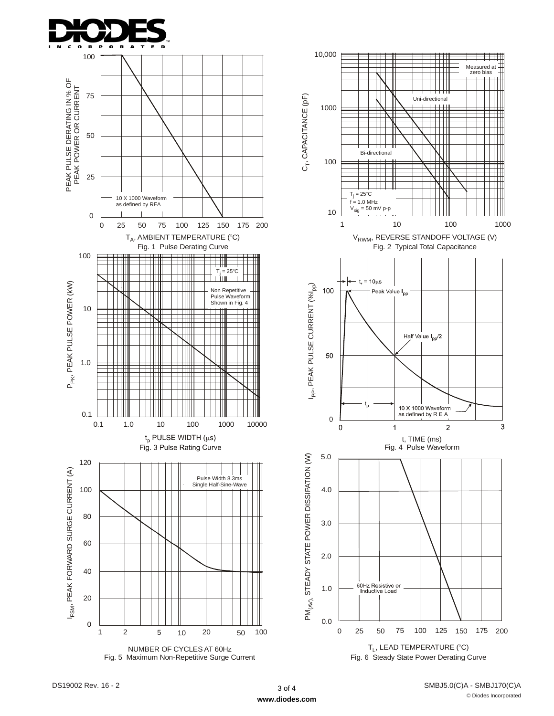